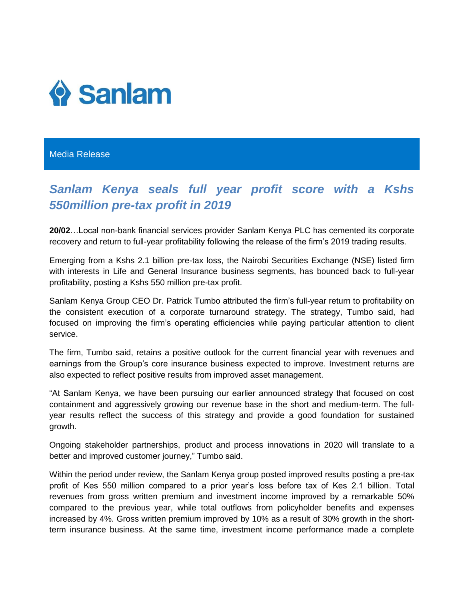

## Media Release

## *Sanlam Kenya seals full year profit score with a Kshs 550million pre-tax profit in 2019*

**20/02**…Local non-bank financial services provider Sanlam Kenya PLC has cemented its corporate recovery and return to full-year profitability following the release of the firm's 2019 trading results.

Emerging from a Kshs 2.1 billion pre-tax loss, the Nairobi Securities Exchange (NSE) listed firm with interests in Life and General Insurance business segments, has bounced back to full-year profitability, posting a Kshs 550 million pre-tax profit.

Sanlam Kenya Group CEO Dr. Patrick Tumbo attributed the firm's full-year return to profitability on the consistent execution of a corporate turnaround strategy. The strategy, Tumbo said, had focused on improving the firm's operating efficiencies while paying particular attention to client service.

The firm, Tumbo said, retains a positive outlook for the current financial year with revenues and earnings from the Group's core insurance business expected to improve. Investment returns are also expected to reflect positive results from improved asset management.

"At Sanlam Kenya, we have been pursuing our earlier announced strategy that focused on cost containment and aggressively growing our revenue base in the short and medium-term. The fullyear results reflect the success of this strategy and provide a good foundation for sustained growth.

Ongoing stakeholder partnerships, product and process innovations in 2020 will translate to a better and improved customer journey," Tumbo said.

Within the period under review, the Sanlam Kenya group posted improved results posting a pre-tax profit of Kes 550 million compared to a prior year's loss before tax of Kes 2.1 billion. Total revenues from gross written premium and investment income improved by a remarkable 50% compared to the previous year, while total outflows from policyholder benefits and expenses increased by 4%. Gross written premium improved by 10% as a result of 30% growth in the shortterm insurance business. At the same time, investment income performance made a complete